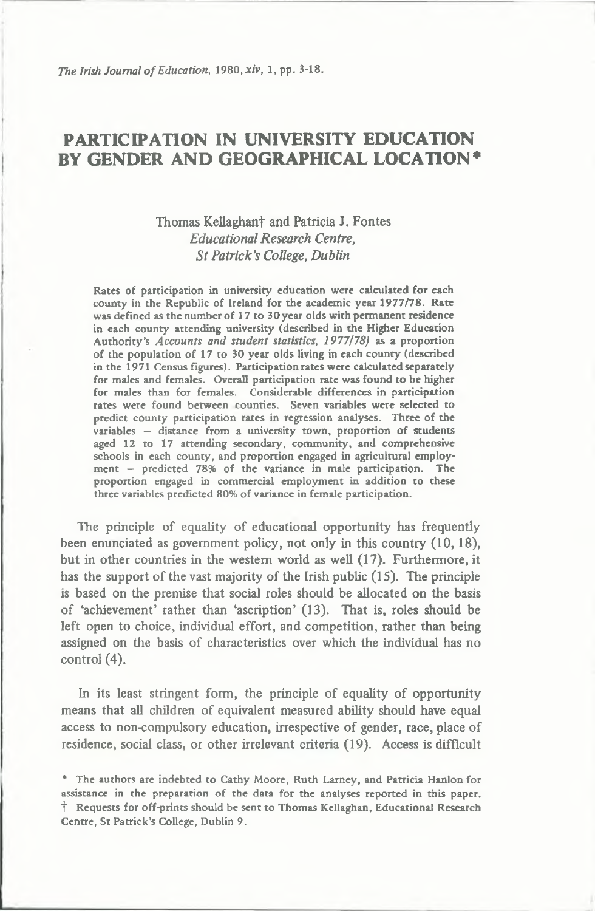# PARTICIPATION IN UNIVERSITY EDUCATION BY GENDER AND GEOGRAPHICAL LOCATION\*

# Thomas Kellaghan† and Patricia J. Fontes *Educational Research Centre***,** *S t Patrick's College, Dublin*

Rates of participation in university education were calculated for each county in the Republic of Ireland for the academic year 1977/78. Rate was defined as the number of 17 to 30 year olds with permanent residence in each county attending university (described in the Higher Education Authority's *Accounts and student statistics, 1977178)* as a proportion of the population of 17 to 30 year olds living in each county (described in the 1971 Census figures). Participation rates were calculated separately for males and females. Overall participation rate was found to be higher for males than for females. Considerable differences in participation rates were found between counties. Seven variables were selected to predict county participation rates in regression analyses. Three of the variables — distance from a university town, proportion of students aged 12 to 17 attending secondary, community, and comprehensive schools in each county, and proportion engaged in agricultural employment — predicted 78% of the variance in male participation. The proportion engaged in commercial employment in addition to these three variables predicted 80% of variance in female participation.

The principle of equality of educational opportunity has frequently been enunciated as government policy, not only in this country (10, 18), but in other countries in the western world as well (17). Furthermore, it has the support of the vast majority of the Irish public (15). The principle is based on the premise that social roles should be allocated on the basis of 'achievement' rather than 'ascription' (13). That is, roles should be left open to choice, individual effort, and competition, rather than being assigned on the basis of characteristics over which the individual has no control (4).

In its least stringent form, the principle of equality of opportunity means that all children of equivalent measured ability should have equal access to non-compulsory education, irrespective of gender, race, place of residence, social class, or other irrelevant criteria (19). Access is difficult

<sup>\*</sup> The authors are indebted to Cathy Moore, Ruth Larney, and Patricia Hanlon for assistance in the preparation of the data for the analyses reported in this paper, f Requests for off-prints should be sent to Thomas Kellaghan, Educational Research Centre, St Patrick's College, Dublin 9.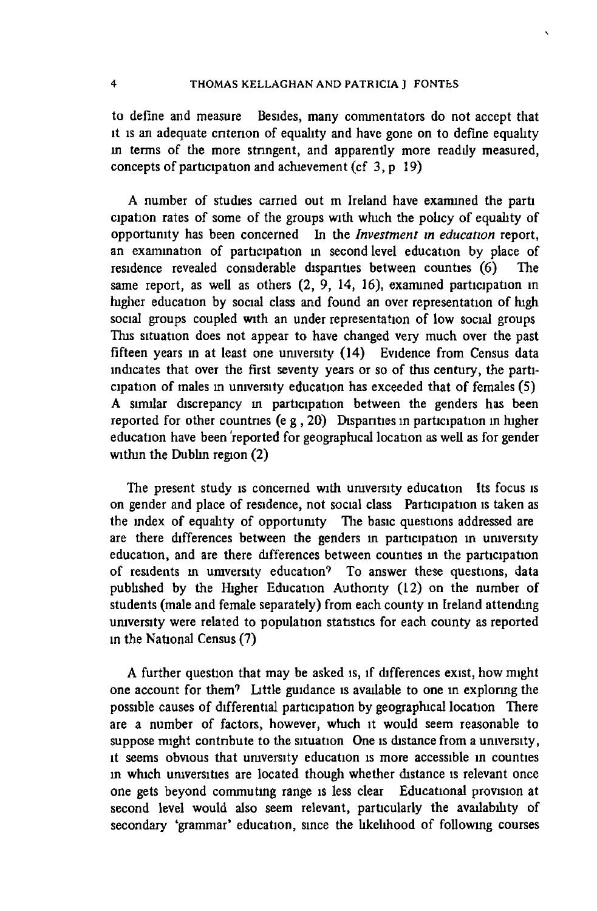to define and measure Besides, many commentators do not accept that it is an adequate criterion of equality and have gone on to define equality in terms of the more stringent, and apparently more readily measured, concepts of participation and achievement (cf 3, p 19)

A number of studies carried out m Ireland have examined the parti cipation rates of some of the groups with which the policy of equality of **opportunity has been concerned In the** *Investment in education* **report,** an examination of participation in second level education by place of residence revealed considerable disparities between counties (6) The same report, as well as others  $(2, 9, 14, 16)$ , examined participation in higher education by social class and found an over representation of high social groups coupled with an under representation of low social groups This situation does not appear to have changed very much over the past fifteen years in at least one university (14) Evidence from Census data indicates that over the first seventy years or so of this century, the participation of males in university education has exceeded that of females (5) A similar discrepancy in participation between the genders has been reported for other countries (e g, 20) Disparities in participation in higher education have been reported for geographical location as well as for gender within the Dublin region (2)

**The present study is concerned with university education Its focus is** on gender and place of residence, not social class Participation is taken as the index of equality of opportunity The basic questions addressed are are there differences between the genders in participation in university education, and are there differences between counties in the participation of residents in umversity education? To answer these questions, data published by the Higher Education Authority (12) on the number of students (male and female separately) from each county in Ireland attending **university were related to population statistics for each county as reported in the National Census (7 )**

A further question that may be asked is, if differences exist, how might one account for them<sup>9</sup> Little guidance is available to one in exploring the possible causes of differential participation by geographical location There are a number of factors, however, which it would seem reasonable to suppose might contribute to the situation One is distance from a university, it seems obvious that university education is more accessible in counties **in w hich universities are located though whether distance is relevant once** one gets beyond commuting range is less clear Educational provision at second level would also seem relevant, particularly the availability of secondary 'grammar' education, since the likelihood of following courses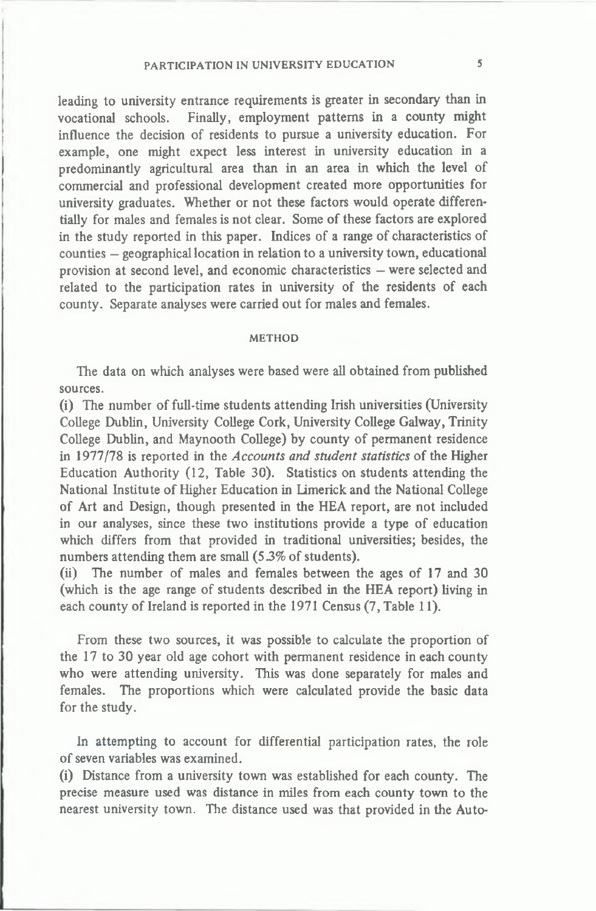**leading to university entrance requirements is greater in secondary than in** vocational schools. Finally, employment patterns in a county might influence the decision of residents to pursue a university education. For **exam ple, one might exp ect less interest in university education in a** predominantly agricultural area than in an area in which the level of commercial and professional development created more opportunities for university graduates. Whether or not these factors would operate differentially for males and females is not clear. Some of these factors are explored in the study reported in this paper. Indices of a range of characteristics of counties – geographical location in relation to a university town, educational provision at second level, and economic characteristics – were selected and related to the participation rates in university of the residents of each **coun ty. Separate analyses were carried out for males and fem ales.**

#### METHOD

The data on which analyses were based were all obtained from published **sources.**

(i) The number of full-time students attending Irish universities (University **College Dublin, University College Cork, University College Galway, Trinity** College Dublin, and Maynooth College) by county of permanent residence in 1977/78 is reported in the *Accounts and student statistics* of the Higher Education Authority (12, Table 30). Statistics on students attending the National Institute of Higher Education in Limerick and the National College of Art and Design, though presented in the HEA report, are not included in our analyses, since these two institutions provide a type of education **which differs from that provided in traditional universities; besides, the** numbers attending them are small (5.3% of students).

(ii) The number of males and females between the ages of 17 and 30 (which is the age range of students described in the HEA report) living in each county of Ireland is reported in the 1971 Census (7, Table 11).

From these two sources, it was possible to calculate the proportion of the 17 to 30 year old age cohort with permanent residence in each county who were attending university. This was done separately for males and **fem ales. The proportions which were calculated provide the basic data for the study.**

**In attem pting to account for differential participation rates, the role** of seven variables was examined.

(i) Distance from a university town was established for each county. The precise measure used was distance in miles from each county town to the nearest university town. The distance used was that provided in the Auto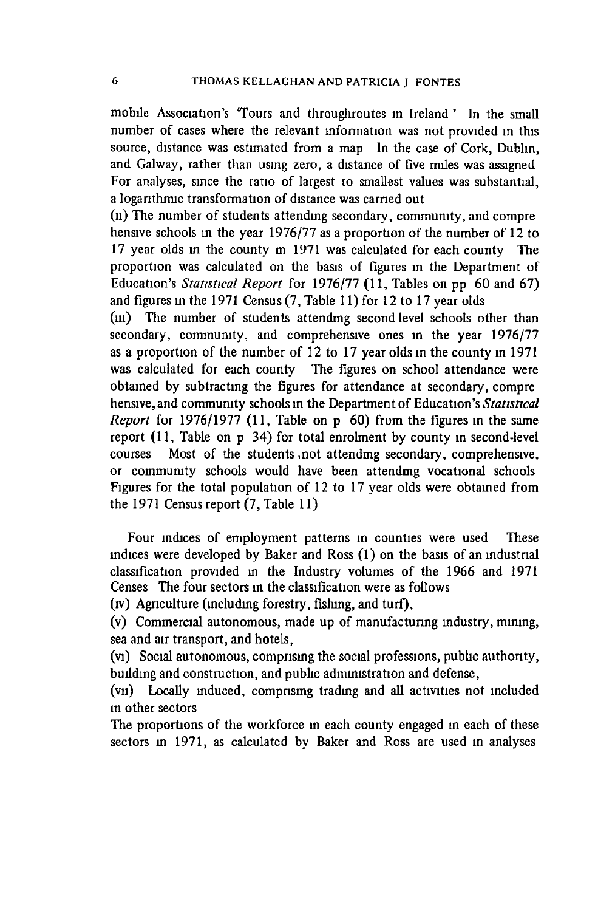mobile Association's 'Tours and throughroutes in Ireland ' In the small number of cases where the relevant information was not provided in this source, distance was estimated from a map In the case of Cork, Dublin, and Galway, rather than using zero, a distance of five miles was assigned For analyses, since the ratio of largest to smallest values was substantial, a logarithmic transformation of distance was carried out

(ii) The number of students attending secondary, community, and compre hensive schools in the year 1976/77 as a proportion of the number of 12 to 17 year olds in the county m 1971 was calculated for each county The proportion was calculated on the basis of figures in the Department of Education's *Statistical Report* for 1976/77 (11, Tables on pp 60 and 67) **and figures in the 1971 Census (7 , Table 11) for 12 to 17 year olds**

(iii) The number of students attending second level schools other than secondary, community, and comprehensive ones in the year 1976/77 as a proportion of the number of 12 to 17 year olds in the county in 1971 **was calculated for each county The figures on school attendance were obtained by subtracting the figures for attendance at secondary, compre** hensive, and community schools in the Department of Education's Statistical *Report* for 1976/1977 (11, Table on p 60) from the figures in the same report (11, Table on p 34) for total enrolment by county in second-level courses Most of the students not attending secondary, comprehensive, or community schools would have been attendmg vocational schools Figures for the total population of 12 to 17 year olds were obtained from **the 1971 Census report (7 , Table 11)**

Four indices of employment patterns in counties were used These indices were developed by Baker and Ross (1) on the basis of an industrial classification provided in the Industry volumes of the 1966 and 1971 Censes The four sectors in the classification were as follows

(iv) **Agnculture (including forestry, fishing, and turf),**

(v) Commercial autonomous, made up of manufacturing industry, mining, **sea and air transport, and hotels,**

(vi) Social autonomous, comprising the social professions, public authority, **building and construction, and public administration and defense,**

(vu) Locally induced, comprising trading and all activities not included **in other sectors**

The proportions of the workforce in each county engaged in each of these **sectors in 1971, as calculated by Baker and Ross are used in analyses**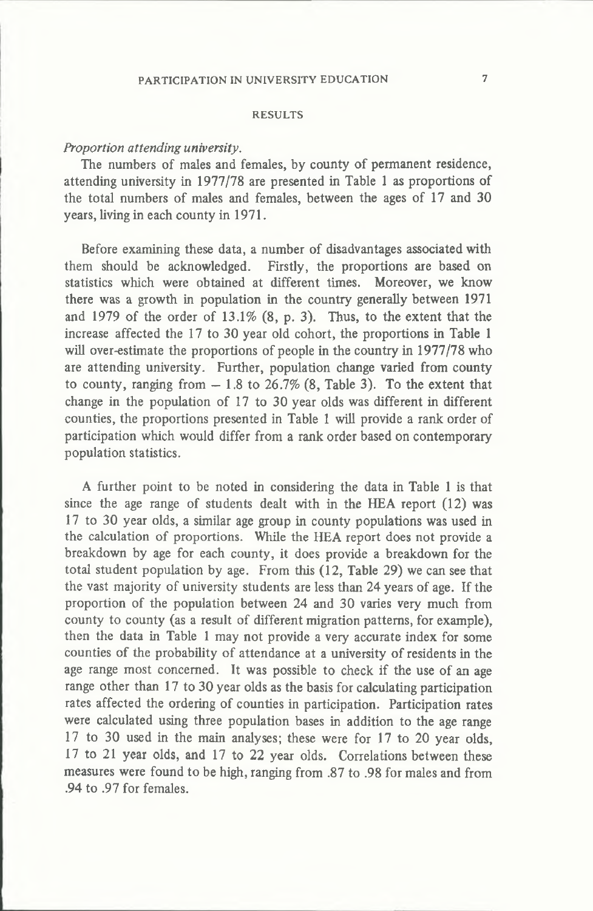#### **RESULTS**

# *Proportion attending university.*

The numbers of males and females, by county of permanent residence, attending university in 1977/78 are presented in Table 1 as proportions of the total numbers of males and females, between the ages of 17 and 30 **years, living in each county in 1971.**

Before examining these data, a number of disadvantages associated with **them should be acknowledged. Firstly, the proportions are based on** statistics which were obtained at different times. Moreover, we know there was a growth in population in the country generally between 1971 and 1979 of the order of  $13.1\%$  (8, p. 3). Thus, to the extent that the increase affected the 17 to 30 year old cohort, the proportions in Table 1 will over-estimate the proportions of people in the country in 1977/78 who **are attending university. Further, population change varied from county** to county, ranging from  $-1.8$  to  $26.7\%$  (8, Table 3). To the extent that change in the population of 17 to 30 year olds was different in different counties, the proportions presented in Table 1 will provide a rank order of participation which would differ from a rank order based on contemporary **population statistics.**

**A further point to be noted in considering the data in Table 1 is that** since the age range of students dealt with in the HEA report (12) was 17 to 30 year olds, a similar age group in county populations was used in the calculation of proportions. While the HEA report does not provide a breakdown by age for each county, it does provide a breakdown for the total student population by age. From this (12, Table 29) we can see that the vast majority of university students are less than 24 years of age. If the proportion of the population between 24 and 30 varies very much from county to county (as a result of different migration patterns, for example), **then the data in Table 1 may n ot provide a very accurate index for some** counties of the probability of attendance at a university of residents in the age range most concerned. It was possible to check if the use of an age range other than 17 to 30 year olds as the basis for calculating participation rates affected the ordering of counties in participation. Participation rates **were calculated using three population bases in addition to the age range** 17 to 30 used in the main analyses; these were for 17 to 20 year olds, 17 to 21 year olds, and 17 to 22 year olds. Correlations between these measures were found to be high, ranging from .87 to .98 for males and from **.94 to .97 for females.**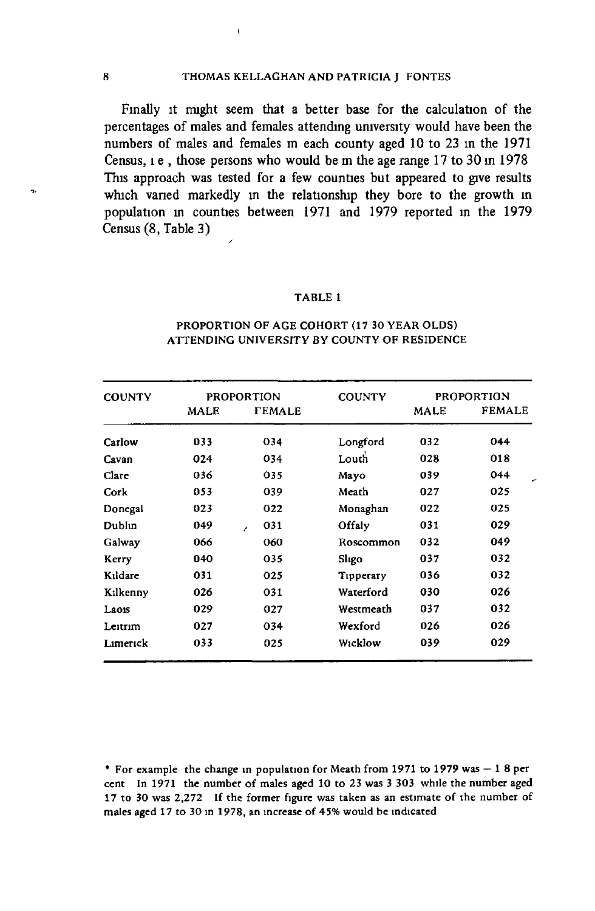í.

Finally it might seem that a better base for the calculation of the percentages of males and females attending university would have been the numbers of males and females m each county aged 10 to 23 in the 1971 Census, i.e., those persons who would be m the age range 17 to 30 in 1978 **This approach was tested for a few counties but appeared to give results which varied markedly in the relationship they bore to the growth m** population in counties between 1971 and 1979 reported in the 1979 **Census (8 , Table 3)**

#### T A BLE 1

| <b>COUNTY</b> |      | <b>PROPORTION</b>    | <b>COUNTY</b> |             | <b>PROPORTION</b> |
|---------------|------|----------------------|---------------|-------------|-------------------|
|               | MALE | <b><i>FEMALE</i></b> |               | <b>MALE</b> | <b>FEMALE</b>     |
| Carlow        | 033  | 034                  | Longford      | 032         | 044               |
| Cavan         | 024  | 034                  | Louth         | 028         | 018               |
| Clare         | 036  | 035                  | Mayo          | 039         | 044               |
| Cork          | 053  | 039                  | Meath         | 027         | 025               |
| Donegal       | 023  | 022                  | Monaghan      | 022         | 025               |
| Dublin        | 049  | 031<br>z             | Offaly        | 031         | 029               |
| Galway        | 066  | 060                  | Roscommon     | 032         | 049               |
| Kerry         | 040  | 035                  | Sligo         | 037         | 032               |
| Kildare       | 031  | 025                  | Tipperary     | 036         | 032               |
| Kılkenny      | 026  | 031                  | Waterford     | 030         | 026               |
| Laois         | 029  | 027                  | Westmeath     | 037         | 032               |
| Leitrim       | 027  | 034                  | Wexford       | 026         | 026               |
| Limerick      | 033  | 025                  | Wicklow       | 039         | 029               |

#### PROPORTION OF AGE COHORT (17 30 YEAR OLDS) ATTENDING UNIVERSITY BY COUNTY OF RESIDENCE

<sup>\*</sup> For example the change in population for Meath from 1971 to 1979 was  $-18$  per cent In 1971 the number of males aged 10 to 23 was 3 303 while the number aged 17 to 30 was 2,272 If the former figure was taken as an estimate of the number of males aged 17 to 30 in 1978, an increase of 45% would be indicated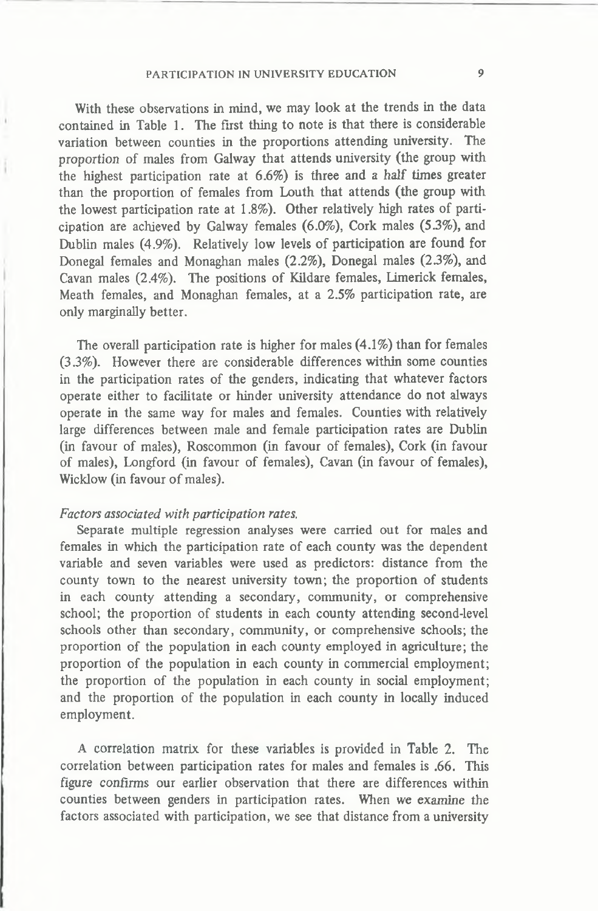With these observations in mind, we may look at the trends in the data **contained in Table 1. The first thing to note is that there is considerable** variation between counties in the proportions attending university. The proportion of males from Galway that attends university (the group with the highest participation rate at 6.6%) is three and a half times greater than the proportion of females from Louth that attends (the group with the lowest participation rate at 1.8%). Other relatively high rates of parti**cipation are achieved by Galway fem ales (6.0% ), Cork males (5.3% ), and** Dublin males (4.9%). Relatively low levels of participation are found for Donegal females and Monaghan males (2.2%), Donegal males (2.3%), and Cavan males (2.4%). The positions of Kildare females, Limerick females, **Meath fem ales, and Monaghan fem ales, at a 2.5% participation rate, are only marginally better.**

The overall participation rate is higher for males  $(4.1\%)$  than for females (3.3%). However there are considerable differences within some counties in the participation rates of the genders, indicating that whatever factors operate either to facilitate or hinder university attendance do not always operate in the same way for males and females. Counties with relatively large differences between male and female participation rates are Dublin (in favour of males), Roscommon (in favour of females), Cork (in favour of males), Longford (in favour of females), Cavan (in favour of females), Wicklow (in favour of males).

# *Factors associated with participation rates.*

Separate multiple regression analyses were carried out for males and females in which the participation rate of each county was the dependent **variable and seven variables were used as predictors: distance from the** county town to the nearest university town; the proportion of students in each county attending a secondary, community, or comprehensive school; the proportion of students in each county attending second-level schools other than secondary, community, or comprehensive schools; the proportion of the population in each county employed in agriculture; the proportion of the population in each county in commercial employment; the proportion of the population in each county in social employment; and the proportion of the population in each county in locally induced employment.

**A correlation matrix for these variables is provided in Table 2. The** correlation between participation rates for males and females is .66. This figure confirms our earlier observation that there are differences within counties between genders in participation rates. When we examine the factors associated with participation, we see that distance from a university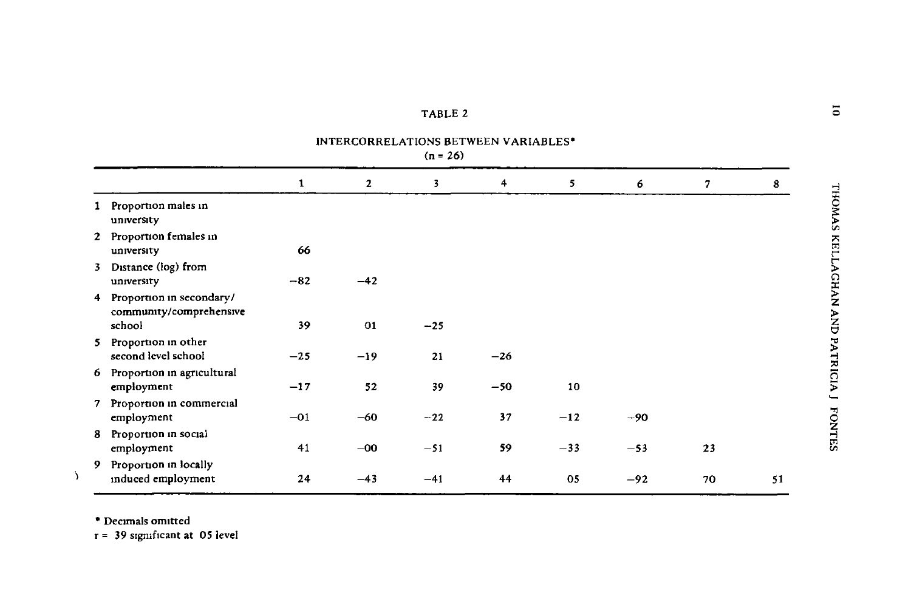| TABLE 2 |  |
|---------|--|
|         |  |

INTERCORRELATIONS BETWEEN VARIABLES\*

|--|--|

|    |                                                                 | 1     | $\mathbf{2}$ | 3     | 4     | 5     | 6     | 7  | 8  |
|----|-----------------------------------------------------------------|-------|--------------|-------|-------|-------|-------|----|----|
|    | 1 Proportion males in<br>university                             |       |              |       |       |       |       |    |    |
|    | 2 Proportion females in<br>university                           | 66    |              |       |       |       |       |    |    |
| 3  | Distance (log) from<br>university                               | $-82$ | $-42$        |       |       |       |       |    |    |
|    | 4 Proportion in secondary/<br>community/comprehensive<br>school | 39    | 01           | $-25$ |       |       |       |    |    |
|    | 5 Proportion in other<br>second level school                    | $-25$ | $-19$        | 21    | $-26$ |       |       |    |    |
|    | 6 Proportion in agricultural<br>employment                      | $-17$ | 52           | 39    | $-50$ | 10    |       |    |    |
|    | 7 Proportion in commercial<br>employment                        | $-01$ | -60          | $-22$ | 37    | $-12$ | $-90$ |    |    |
| 8. | Proportion in social<br>employment                              | 41    | $-00$        | $-51$ | 59    | $-33$ | $-53$ | 23 |    |
|    | 9 Proportion in locally<br>induced employment                   | 24    | $-43$        | $-41$ | 44    | 05    | $-92$ | 70 | 51 |

 $^\bullet$  Decimals omitted

 $\lambda$ 

 $r = 39$  significant at 05 level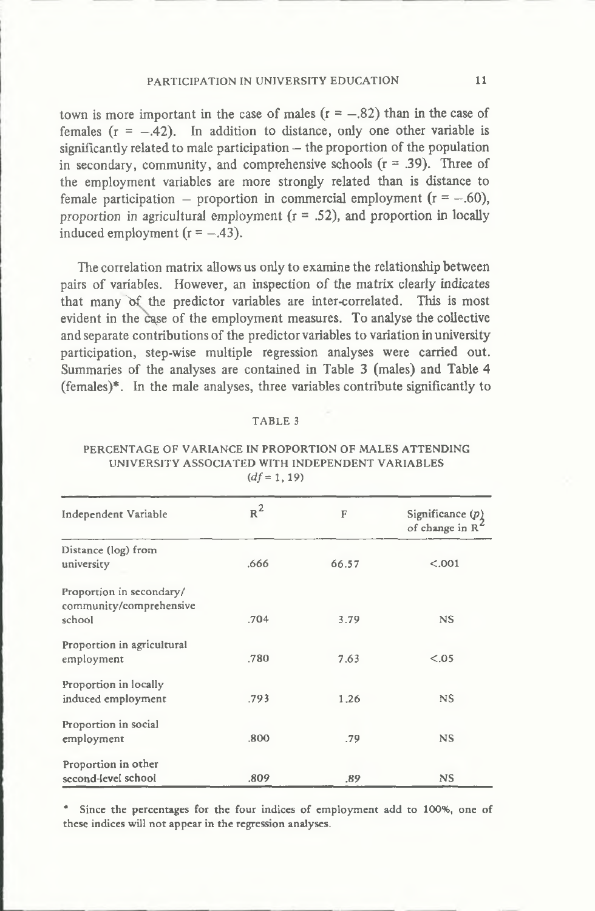town is more important in the case of males  $(r = -.82)$  than in the case of females  $(r = -0.42)$ . In addition to distance, only one other variable is significantly related to male participation – the proportion of the population in secondary, community, and comprehensive schools  $(r = .39)$ . Three of **the em ploym ent variables are more strongly related than is distance to** female participation – proportion in commercial employment  $(r = -.60)$ , proportion in agricultural employment  $(r = .52)$ , and proportion in locally induced employment  $(r = -.43)$ .

The correlation matrix allows us only to examine the relationship between pairs of variables. However, an inspection of the matrix clearly indicates that many of the predictor variables are inter-correlated. This is most evident in the case of the employment measures. To analyse the collective and separate contributions of the predictor variables to variation in university participation, step-wise multiple regression analyses were carried out. Summaries of the analyses are contained in Table 3 (males) and Table 4 **(fem ales)\*. In the male analyses, three variables contribute significantly to**

#### TABLE 3

## PERCENTAGE OF VARIANCE IN PROPORTION OF MALES ATTENDING UNIVERSITY ASSOCIATED WITH INDEPENDENT VARIABLES  $(df = 1, 19)$

| Independent Variable                                          | $R^2$ | F     | Significance $(p)$<br>of change in R <sup>4</sup> |
|---------------------------------------------------------------|-------|-------|---------------------------------------------------|
| Distance (log) from<br>university                             | .666  | 66.57 | < 0.001                                           |
| Proportion in secondary/<br>community/comprehensive<br>school | .704  | 3.79  | <b>NS</b>                                         |
| Proportion in agricultural<br>employment                      | .780  | 7.63  | < .05                                             |
| Proportion in locally<br>induced employment                   | .793  | 1.26  | <b>NS</b>                                         |
| Proportion in social<br>employment                            | .800  | .79   | <b>NS</b>                                         |
| Proportion in other<br>second-level school                    | .809  | .89   | <b>NS</b>                                         |

Since the percentages for the four indices of employment add to 100%, one of these indices will not appear in the regression analyses.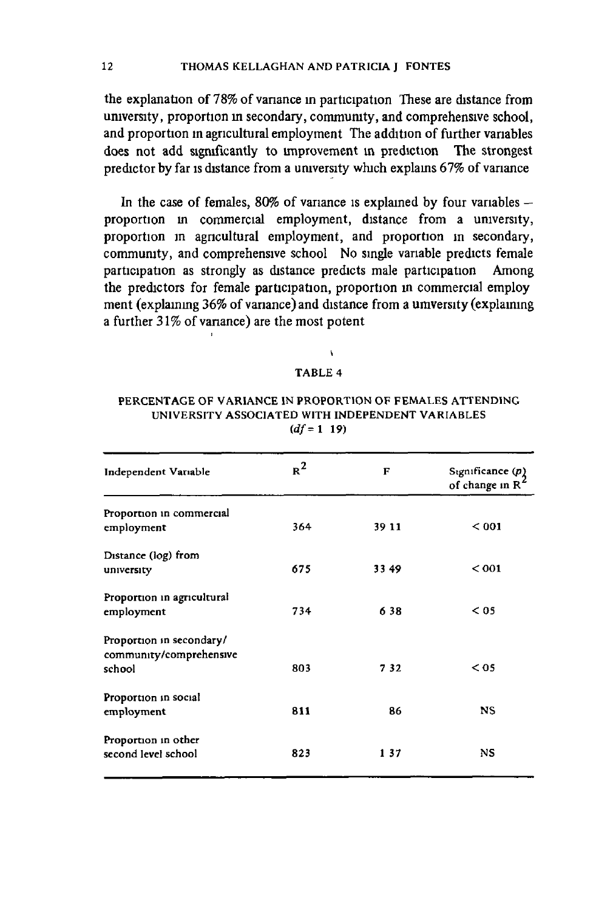the explanation of 78% of variance in participation These are distance from university, proportion in secondary, community, and comprehensive school, and proportion in agricultural employment The addition of further variables does not add significantly to improvement in prediction The strongest predictor by far is distance from a university which explains 67% of variance

In the case of females, 80% of variance is explained by four variables proportion in commercial employment, distance from a university, proportion in agricultural employment, and proportion in secondary, community, and comprehensive school No single variable predicts female participation as strongly as distance predicts male participation Among the predictors for female participation, proportion in commercial employ ment (explaining 36% of variance) and distance from a umversity (explaining a further 31% of variance) are the most potent

#### TABLE 4

### PERCENTAGE OF VARIANCE IN PROPORTION OF FEMALES ATTENDING UNIVERSITY ASSOCIATED WITH INDEPENDENT VARIABLES *(df=* l 19)

| Independent Variable                                          | $R^2$ | F     | Significance $(p)$<br>of change in R <sup>*</sup> |
|---------------------------------------------------------------|-------|-------|---------------------------------------------------|
| Proportion in commercial<br>employment                        | 364   | 39 11 | < 001                                             |
| Distance (log) from<br>university                             | 675   | 3349  | < 001                                             |
| Proportion in agricultural<br>employment                      | 734   | 638   | $<$ 05                                            |
| Proportion in secondary/<br>community/comprehensive<br>school | 803   | 732   | $<$ 05                                            |
| Proportion in social<br>employment                            | 811   | 86    | <b>NS</b>                                         |
| Proportion in other<br>second level school                    | 823   | 137   | NS                                                |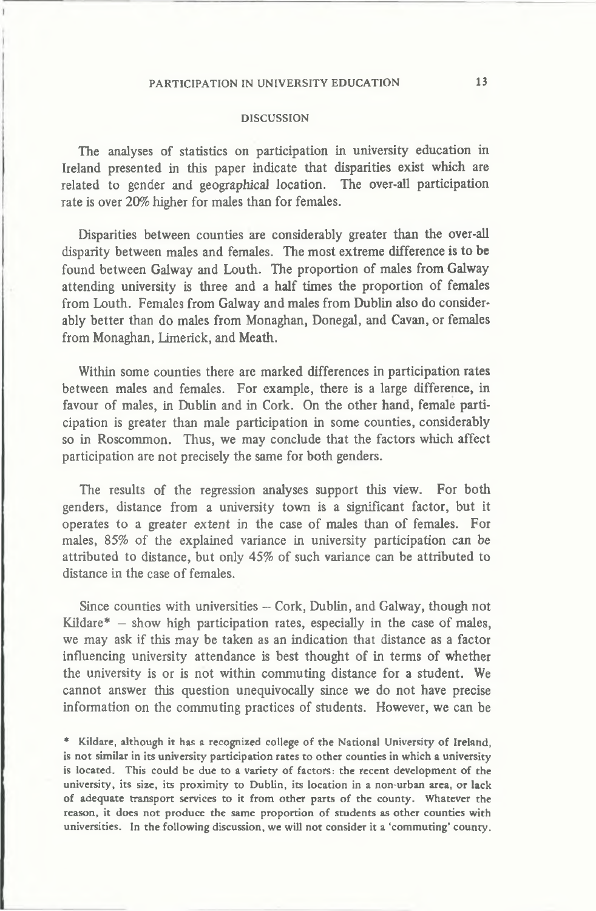#### **DISCUSSION**

The analyses of statistics on participation in university education in Ireland presented in this paper indicate that disparities exist which are **related to gender and geographical location. The over-all participation** rate is over 20% higher for males than for females.

Disparities between counties are considerably greater than the over-all disparity between males and females. The most extreme difference is to be found between Galway and Louth. The proportion of males from Galway attending university is three and a half times the proportion of females **from Louth. Females from Galway and males from Dublin also do consider**ably better than do males from Monaghan, Donegal, and Cavan, or females **from Monaghan, Limerick, and Meath.**

Within some counties there are marked differences in participation rates **betw een males and fem ales. For exam ple, there is a large difference, in** favour of males, in Dublin and in Cork. On the other hand, female participation is greater than male participation in some counties, considerably so in Roscommon. Thus, we may conclude that the factors which affect participation are not precisely the same for both genders.

The results of the regression analyses support this view. For both genders, distance from a university town is a significant factor, but it operates to a greater extent in the case of males than of females. For males, 85% of the explained variance in university participation can be attributed to distance, but only 45% of such variance can be attributed to distance in the case of females.

Since counties with universities - Cork, Dublin, and Galway, though not  $Kildare* - show high participation rates, especially in the case of males,$ we may ask if this may be taken as an indication that distance as a factor influencing university attendance is best thought of in terms of whether the university is or is not within commuting distance for a student. We cannot answer this question unequivocally since we do not have precise information on the commuting practices of students. However, we can be

\* Kildare, although it has a recognized college of the National University of Ireland, is not similar in its university participation rates to other counties in which a university is located. This could be due to a variety of factors: the recent development of the university, its size, its proximity to Dublin, its location in a non-urban area, or lack of adequate transport services to it from other parts of the county. Whatever the reason, it does not produce the same proportion of students as other counties with universities. In the following discussion, we will not consider it a 'commuting' county.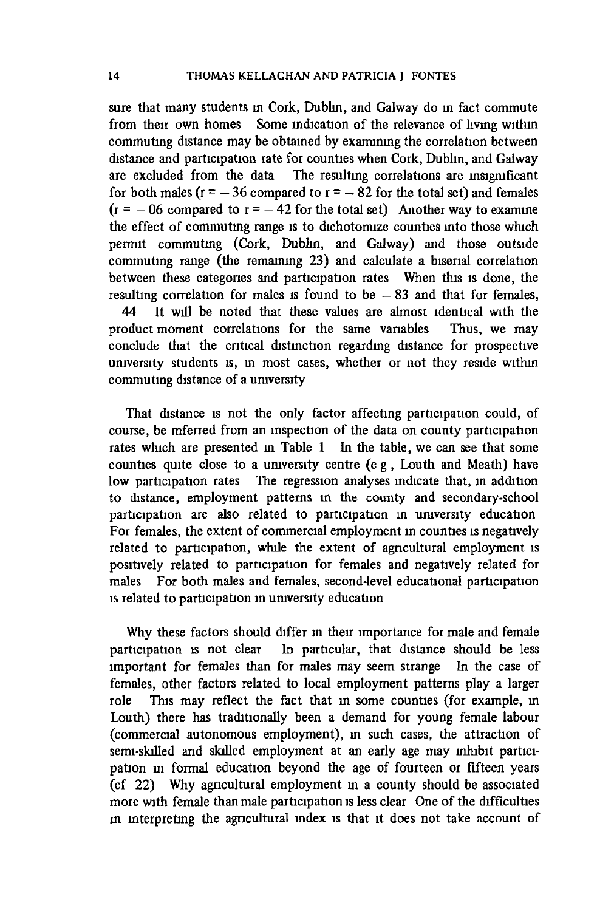sure that many students in Cork, Dublin, and Galway do in fact commute from their own homes Some indication of the relevance of living within commuting distance may be obtained by examining the correlation between distance and participation rate for counties when Cork, Dublin, and Galway **are excluded from the data The resulting correlations are insignificant** for both males ( $r = -36$  compared to  $r = -82$  for the total set) and females  $(r = -06$  compared to  $r = -42$  for the total set) Another way to examine the effect of commuting range is to dichotomize counties into those which permit commuting (Cork, Dublin, and Galway) and those outside commuting range (the remaining 23) and calculate a biserial correlation **betw een these categories and participation rates When this is done, the** resulting correlation for males is found to be  $-83$  and that for females, -44 It will be noted that these values are almost identical with the product moment correlations for the same vanables Thus, we may **conclude that the critical distinction regarding distance for prospective** university students is, in most cases, whether or not they reside within commuting distance of a university

That distance is not the only factor affecting participation could, of course, be mferred from an inspection of the data on county participation rates which are presented in Table 1 In the table, we can see that some counties quite close to a university centre (e g, Louth and Meath) have **low participation rates The regression analyses indicate that, m addition** to distance, employment patterns in the county and secondary-school participation are also related to participation in university education For females, the extent of commercial employment in counties is negatively related to participation, while the extent of agricultural employment is **positively related to participation for fem ales and negatively related for m ales For both males and fem ales, second-level educational participation is related to participation m um versity education**

Why these factors should differ in their importance for male and female **participation is not clear In particular, that distance should be less** important for females than for males may seem strange In the case of females, other factors related to local employment patterns play a larger role This may reflect the fact that in some counties (for example, in Louth) there has traditionally been a demand for young female labour (commercial autonomous employment), in such cases, the attraction of semi-skilled and skilled employment at an early age may inhibit participation in formal education beyond the age of fourteen or fifteen years (cf 22) Why agricultural employment in a county should be associated more with female than male participation is less clear One of the difficulties in interpreting the agricultural index is that it does not take account of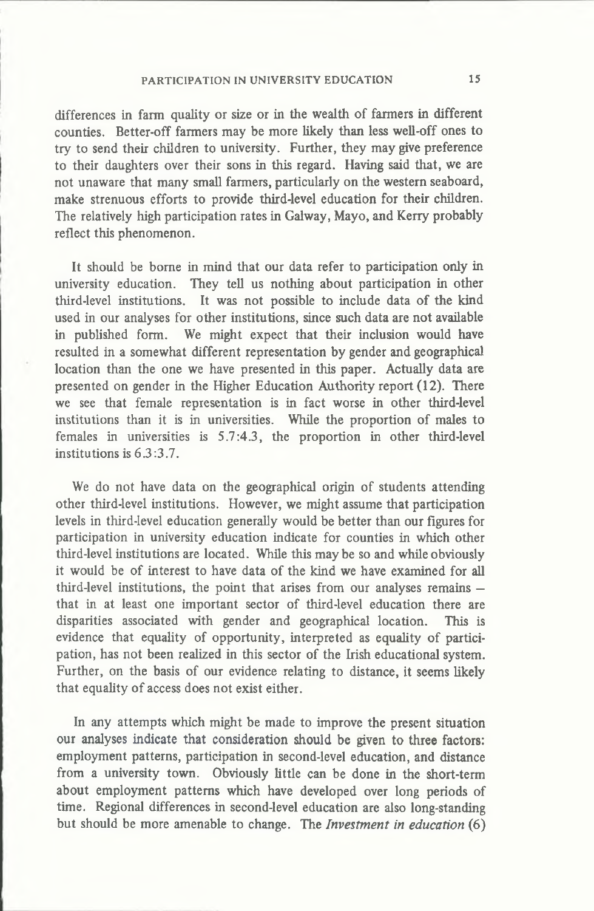differences in farm quality or size or in the wealth of farmers in different counties. Better-off farmers may be more likely than less well-off ones to try to send their children to university. Further, they may give preference **to their daughters over their sons in this regard. Having said that, we are n ot unaware that m any small farmers, particularly on the western seaboard, make strenuous efforts to provide third-level education for their children.** The relatively high participation rates in Galway, Mayo, and Kerry probably reflect this phenomenon.

It should be borne in mind that our data refer to participation only in **university education. They tell us nothing about participation in other** third-level institutions. It was not possible to include data of the kind used in our analyses for other institutions, since such data are not available in published form. We might expect that their inclusion would have resulted in a somewhat different representation by gender and geographical location than the one we have presented in this paper. Actually data are **presented on gender in the Higher Education Authority report (12). There** we see that female representation is in fact worse in other third-level institutions than it is in universities. While the proportion of males to **fem ales in universities is 5 .7 :4 .3 , the proportion in other third-level institutions is 6 .3 :3 .7 .**

We do not have data on the geographical origin of students attending **other third-level institutions. However, we m ight assume that participation** levels in third-level education generally would be better than our figures for participation in university education indicate for counties in which other third-level institutions are located. While this may be so and while obviously it would be of interest to have data of the kind we have examined for all **third-level institutions, the point that arises from our analyses remains**  that in at least one important sector of third-level education there are **disparities associated w ith gender and geographical location. This is** evidence that equality of opportunity, interpreted as equality of participation, has not been realized in this sector of the Irish educational system. Further, on the basis of our evidence relating to distance, it seems likely that equality of access does not exist either.

In any attempts which might be made to improve the present situation **our analyses indicate that consideration should be given to three factors: em ploym ent patterns, participation in second-level education, and distance** from a university town. Obviously little can be done in the short-term about employment patterns which have developed over long periods of **tim e. Regional differences in second-level education are also long-standing but should be more amenable to change. The** *Investment in education* **(6 )**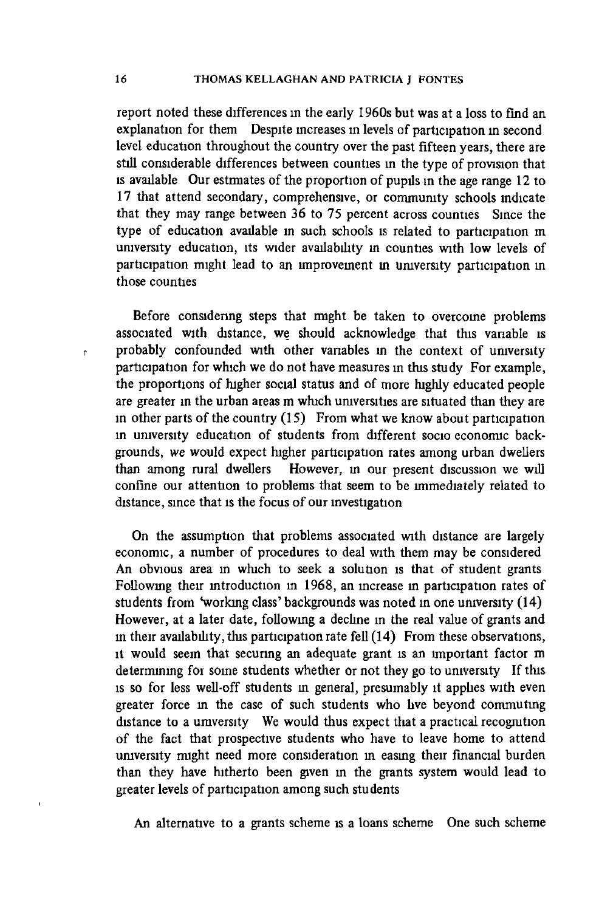**report noted these differences in the early 1960s but was at a loss to find an** explanation for them Despite increases in levels of participation in second **level education throughout the country over the past fifteen years, there are** still considerable differences between counties in the type of provision that is available Our estimates of the proportion of pupils in the age range 12 to 17 that attend secondary, comprehensive, or community schools indicate that they may range between 36 to 75 percent across counties Since the type of education available in such schools is related to participation m university education, its wider availability in counties with low levels of participation might lead to an improvement in university participation in **those counties**

Before considering steps that might be taken to overcome problems associated with distance, we should acknowledge that this variable is probably confounded with other variables in the context of university participation for which we do not have measures in this study For example, the proportions of higher social status and of more highly educated people **are greater in the urban areas m w hich universities are situated than they are** in other parts of the country (15) From what we know about participation in university education of students from different socio economic backgrounds, we would expect higher participation rates among urban dwellers than among rural dwellers However, in our present discussion we will confine our attention to problems that seem to be immediately related to distance, since that is the focus of our investigation

On the assumption that problems associated with distance are largely economic, a number of procedures to deal with them may be considered An obvious area in which to seek a solution is that of student grants Following their introduction in 1968, an increase in participation rates of students from 'working class' backgrounds was noted in one university (14) However, at a later date, following a decline in the real value of grants and **in their availability, this participation rate fell (1 4 ) From these observations, it w ould seem that securing an adequate grant is an im portant factor m** determining for some students whether or not they go to university If this is so for less well-off students in general, presumably it applies with even greater force in the case of such students who live beyond commuting distance to a umversity We would thus expect that a practical recognition of the fact that prospective students who have to leave home to attend **umversity m ight need more consideration in easmg their financial burden** than they have hitherto been given in the grants system would lead to greater levels of participation among such students

An alternative to a grants scheme is a loans scheme One such scheme

r.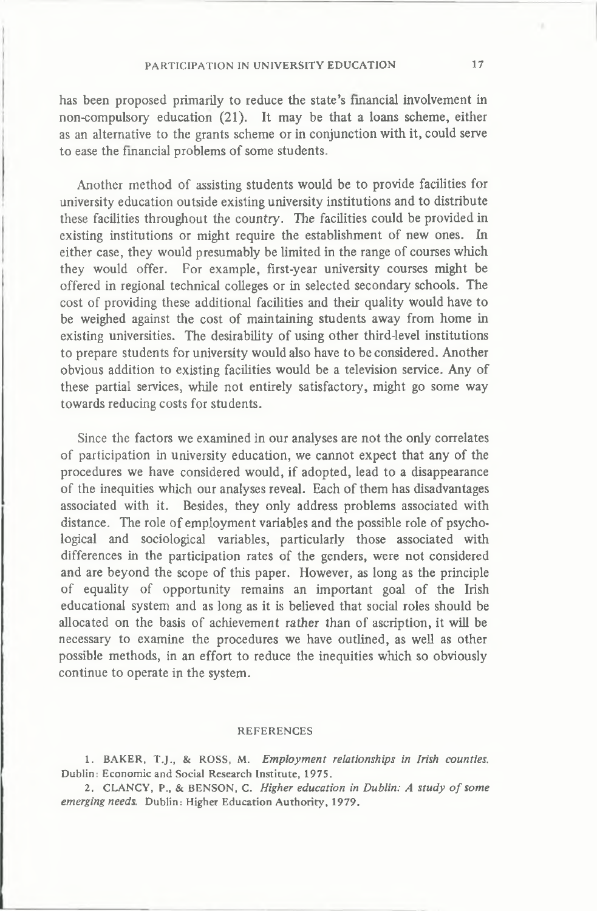has been proposed primarily to reduce the state's financial involvement in non-compulsory education (21). It may be that a loans scheme, either as an alternative to the grants scheme or in conjunction with it, could serve to ease the financial problems of some students.

Another method of assisting students would be to provide facilities for **university education outside existing university institutions and to distribute these facilities throughout the country. The facilities could be provided in** existing institutions or might require the establishment of new ones. In either case, they would presumably be limited in the range of courses which they would offer. For example, first-year university courses might be **offered in regional technical colleges or in selected secondary schools. The** cost of providing these additional facilities and their quality would have to be weighed against the cost of maintaining students away from home in existing universities. The desirability of using other third-level institutions to prepare students for university would also have to be considered. Another obvious addition to existing facilities would be a television service. Any of these partial services, while not entirely satisfactory, might go some way **towards reducing costs for students.**

Since the factors we examined in our analyses are not the only correlates of participation in university education, we cannot expect that any of the **procedures we have considered w ould, if adopted, lead to a disappearance** of the inequities which our analyses reveal. Each of them has disadvantages associated with it. Besides, they only address problems associated with distance. The role of employment variables and the possible role of psychological and sociological variables, particularly those associated with differences in the participation rates of the genders, were not considered and are beyond the scope of this paper. However, as long as the principle of equality of opportunity remains an important goal of the Irish **educational system and as long as it is believed that social roles should be** allocated on the basis of achievement rather than of ascription, it will be necessary to examine the procedures we have outlined, as well as other possible methods, in an effort to reduce the inequities which so obviously **continue to operate in the system .**

#### **REFERENCES**

1. BAKER, T.J., & ROSS, M. *Employment relationships in Irish counties.* Dublin: Economic and Social Research Institute, 1975.

2. CLANCY, P., & BENSON, C. *Higher education in Dublin: A study of some emerging needs.* Dublin: Higher Education Authority, 1979.